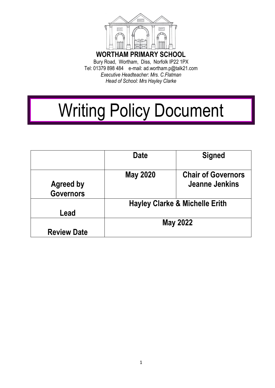

Tel: 01379 898 484 e-mail: ad.wortham.p@talk21.com *Executive Headteacher: Mrs. C.Flatman Head of School: Mrs Hayley Clarke* 

# Writing Policy Document

|                                      | <b>Date</b>                               | <b>Signed</b>                               |
|--------------------------------------|-------------------------------------------|---------------------------------------------|
| <b>Agreed by</b><br><b>Governors</b> | <b>May 2020</b>                           | <b>Chair of Governors</b><br>Jeanne Jenkins |
| Lead                                 | <b>Hayley Clarke &amp; Michelle Erith</b> |                                             |
| <b>Review Date</b>                   | <b>May 2022</b>                           |                                             |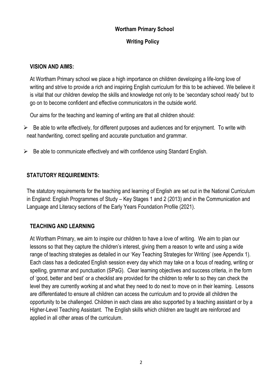#### **Wortham Primary School**

## **Writing Policy**

## **VISION AND AIMS:**

At Wortham Primary school we place a high importance on children developing a life-long love of writing and strive to provide a rich and inspiring English curriculum for this to be achieved. We believe it is vital that our children develop the skills and knowledge not only to be 'secondary school ready' but to go on to become confident and effective communicators in the outside world.

Our aims for the teaching and learning of writing are that all children should:

- $\triangleright$  Be able to write effectively, for different purposes and audiences and for enjoyment. To write with neat handwriting, correct spelling and accurate punctuation and grammar.
- $\triangleright$  Be able to communicate effectively and with confidence using Standard English.

## **STATUTORY REQUIREMENTS:**

The statutory requirements for the teaching and learning of English are set out in the National Curriculum in England: English Programmes of Study – Key Stages 1 and 2 (2013) and in the Communication and Language and Literacy sections of the Early Years Foundation Profile (2021).

# **TEACHING AND LEARNING**

At Wortham Primary, we aim to inspire our children to have a love of writing. We aim to plan our lessons so that they capture the children's interest, giving them a reason to write and using a wide range of teaching strategies as detailed in our 'Key Teaching Strategies for Writing' (see Appendix 1). Each class has a dedicated English session every day which may take on a focus of reading, writing or spelling, grammar and punctuation (SPaG). Clear learning objectives and success criteria, in the form of 'good, better and best' or a checklist are provided for the children to refer to so they can check the level they are currently working at and what they need to do next to move on in their learning. Lessons are differentiated to ensure all children can access the curriculum and to provide all children the opportunity to be challenged. Children in each class are also supported by a teaching assistant or by a Higher-Level Teaching Assistant. The English skills which children are taught are reinforced and applied in all other areas of the curriculum.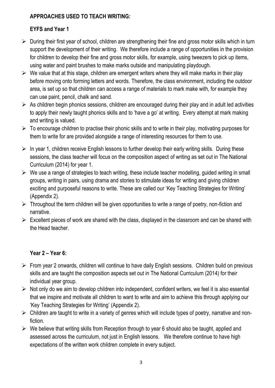## **APPROACHES USED TO TEACH WRITING:**

# **EYFS and Year 1**

- $\triangleright$  During their first year of school, children are strengthening their fine and gross motor skills which in turn support the development of their writing. We therefore include a range of opportunities in the provision for children to develop their fine and gross motor skills, for example, using tweezers to pick up items, using water and paint brushes to make marks outside and manipulating playdough.
- $\triangleright$  We value that at this stage, children are emergent writers where they will make marks in their play before moving onto forming letters and words. Therefore, the class environment, including the outdoor area, is set up so that children can access a range of materials to mark make with, for example they can use paint, pencil, chalk and sand.
- $\triangleright$  As children begin phonics sessions, children are encouraged during their play and in adult led activities to apply their newly taught phonics skills and to 'have a go' at writing. Every attempt at mark making and writing is valued.
- $\triangleright$  To encourage children to practise their phonic skills and to write in their play, motivating purposes for them to write for are provided alongside a range of interesting resources for them to use.
- $\triangleright$  In year 1, children receive English lessons to further develop their early writing skills. During these sessions, the class teacher will focus on the composition aspect of writing as set out in The National Curriculum (2014) for year 1.
- $\triangleright$  We use a range of strategies to teach writing, these include teacher modelling, guided writing in small groups, writing in pairs, using drama and stories to stimulate ideas for writing and giving children exciting and purposeful reasons to write. These are called our 'Key Teaching Strategies for Writing' (Appendix 2).
- $\triangleright$  Throughout the term children will be given opportunities to write a range of poetry, non-fiction and narrative.
- $\triangleright$  Excellent pieces of work are shared with the class, displayed in the classroom and can be shared with the Head teacher.

# **Year 2 – Year 6:**

- $\triangleright$  From year 2 onwards, children will continue to have daily English sessions. Children build on previous skills and are taught the composition aspects set out in The National Curriculum (2014) for their individual year group.
- $\triangleright$  Not only do we aim to develop children into independent, confident writers, we feel it is also essential that we inspire and motivate all children to want to write and aim to achieve this through applying our 'Key Teaching Strategies for Writing' (Appendix 2).
- $\triangleright$  Children are taught to write in a variety of genres which will include types of poetry, narrative and nonfiction.
- $\triangleright$  We believe that writing skills from Reception through to year 6 should also be taught, applied and assessed across the curriculum, not just in English lessons. We therefore continue to have high expectations of the written work children complete in every subject.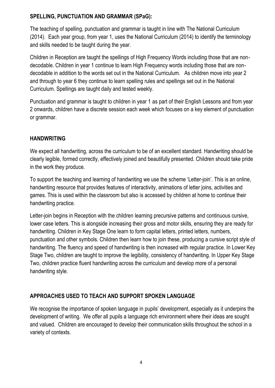## **SPELLING, PUNCTUATION AND GRAMMAR (SPaG):**

The teaching of spelling, punctuation and grammar is taught in line with The National Curriculum (2014). Each year group, from year 1, uses the National Curriculum (2014) to identify the terminology and skills needed to be taught during the year.

Children in Reception are taught the spellings of High Frequency Words including those that are nondecodable. Children in year 1 continue to learn High Frequency words including those that are nondecodable in addition to the words set out in the National Curriculum. As children move into year 2 and through to year 6 they continue to learn spelling rules and spellings set out in the National Curriculum. Spellings are taught daily and tested weekly.

Punctuation and grammar is taught to children in year 1 as part of their English Lessons and from year 2 onwards, children have a discrete session each week which focuses on a key element of punctuation or grammar.

## **HANDWRITING**

We expect all handwriting, across the curriculum to be of an excellent standard. Handwriting should be clearly legible, formed correctly, effectively joined and beautifully presented. Children should take pride in the work they produce.

To support the teaching and learning of handwriting we use the scheme 'Letter-join'. This is an online, handwriting resource that provides features of interactivity, animations of letter joins, activities and games. This is used within the classroom but also is accessed by children at home to continue their handwriting practice.

Letter-join begins in Reception with the children learning precursive patterns and continuous cursive, lower case letters. This is alongside increasing their gross and motor skills, ensuring they are ready for handwriting. Children in Key Stage One learn to form capital letters, printed letters, numbers, punctuation and other symbols. Children then learn how to join these, producing a cursive script style of handwriting. The fluency and speed of handwriting is then increased with regular practice. In Lower Key Stage Two, children are taught to improve the legibility, consistency of handwriting. In Upper Key Stage Two, children practice fluent handwriting across the curriculum and develop more of a personal handwriting style.

# **APPROACHES USED TO TEACH AND SUPPORT SPOKEN LANGUAGE**

We recognise the importance of spoken language in pupils' development, especially as it underpins the development of writing. We offer all pupils a language rich environment where their ideas are sought and valued. Children are encouraged to develop their communication skills throughout the school in a variety of contexts.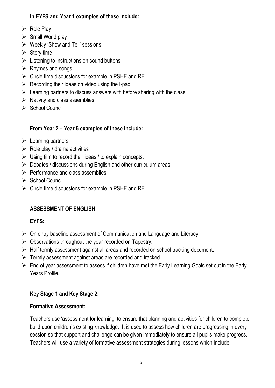## **In EYFS and Year 1 examples of these include:**

- $\triangleright$  Role Play
- $\triangleright$  Small World play
- $\triangleright$  Weekly 'Show and Tell' sessions
- $\triangleright$  Story time
- $\triangleright$  Listening to instructions on sound buttons
- $\triangleright$  Rhymes and songs
- $\triangleright$  Circle time discussions for example in PSHE and RE
- $\triangleright$  Recording their ideas on video using the I-pad
- $\triangleright$  Learning partners to discuss answers with before sharing with the class.
- $\triangleright$  Nativity and class assemblies
- $\triangleright$  School Council

# **From Year 2 – Year 6 examples of these include:**

- $\triangleright$  Learning partners
- $\triangleright$  Role play / drama activities
- $\triangleright$  Using film to record their ideas / to explain concepts.
- $\triangleright$  Debates / discussions during English and other curriculum areas.
- $\triangleright$  Performance and class assemblies
- $\triangleright$  School Council
- $\triangleright$  Circle time discussions for example in PSHE and RE

# **ASSESSMENT OF ENGLISH:**

# **EYFS:**

- $\triangleright$  On entry baseline assessment of Communication and Language and Literacy.
- $\triangleright$  Observations throughout the year recorded on Tapestry.
- ▶ Half termly assessment against all areas and recorded on school tracking document.
- $\triangleright$  Termly assessment against areas are recorded and tracked.
- $\triangleright$  End of year assessment to assess if children have met the Early Learning Goals set out in the Early Years Profile.

# **Key Stage 1 and Key Stage 2:**

# **Formative Assessment:** –

Teachers use 'assessment for learning' to ensure that planning and activities for children to complete build upon children's existing knowledge. It is used to assess how children are progressing in every session so that support and challenge can be given immediately to ensure all pupils make progress. Teachers will use a variety of formative assessment strategies during lessons which include: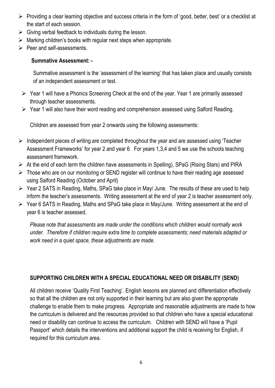- $\triangleright$  Providing a clear learning objective and success criteria in the form of 'good, better, best' or a checklist at the start of each session.
- $\triangleright$  Giving verbal feedback to individuals during the lesson.
- $\triangleright$  Marking children's books with regular next steps when appropriate.
- $\triangleright$  Peer and self-assessments.

## **Summative Assessment: -**

Summative assessment is the 'assessment of the learning' that has taken place and usually consists of an independent assessment or test.

- $\triangleright$  Year 1 will have a Phonics Screening Check at the end of the year. Year 1 are primarily assessed through teacher assessments.
- Year 1 will also have their word reading and comprehension assessed using Salford Reading.

Children are assessed from year 2 onwards using the following assessments:

- $\triangleright$  Independent pieces of writing are completed throughout the year and are assessed using 'Teacher' Assessment Frameworks' for year 2 and year 6. For years 1,3,4 and 5 we use the schools teaching assessment framework.
- $\triangleright$  At the end of each term the children have assessments in Spelling), SPaG (Rising Stars) and PIRA
- $\triangleright$  Those who are on our monitoring or SEND register will continue to have their reading age assessed using Salford Reading (October and April)
- $\triangleright$  Year 2 SATS in Reading, Maths, SPaG take place in May/ June. The results of these are used to help inform the teacher's assessments. Writing assessment at the end of year 2 is teacher assessment only.
- Year 6 SATS in Reading, Maths and SPaG take place in May/June. Writing assessment at the end of year 6 is teacher assessed.

*Please note that assessments are made under the conditions which children would normally work under. Therefore if children require extra time to complete assessments; need materials adapted or work need in a quiet space, these adjustments are made.* 

## **SUPPORTING CHILDREN WITH A SPECIAL EDUCATIONAL NEED OR DISABILITY (SEND)**

All children receive 'Quality First Teaching'. English lessons are planned and differentiation effectively so that all the children are not only supported in their learning but are also given the appropriate challenge to enable them to make progress. Appropriate and reasonable adjustments are made to how the curriculum is delivered and the resources provided so that children who have a special educational need or disability can continue to access the curriculum. Children with SEND will have a 'Pupil Passport' which details the interventions and additional support the child is receiving for English, if required for this curriculum area.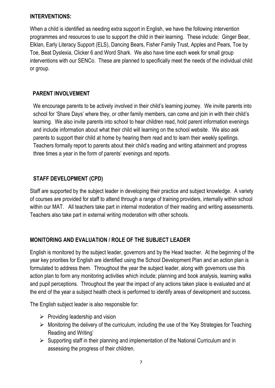#### **INTERVENTIONS:**

When a child is identified as needing extra support in English, we have the following intervention programmes and resources to use to support the child in their learning. These include: Ginger Bear, Elklan, Early Literacy Support (ELS), Dancing Bears, Fisher Family Trust, Apples and Pears, Toe by Toe, Beat Dyslexia, Clicker 6 and Word Shark. We also have time each week for small group interventions with our SENCo. These are planned to specifically meet the needs of the individual child or group.

## **PARENT INVOLVEMENT**

We encourage parents to be actively involved in their child's learning journey. We invite parents into school for 'Share Days' where they, or other family members, can come and join in with their child's learning. We also invite parents into school to hear children read, hold parent information evenings and include information about what their child will learning on the school website. We also ask parents to support their child at home by hearing them read and to learn their weekly spellings. Teachers formally report to parents about their child's reading and writing attainment and progress three times a year in the form of parents' evenings and reports.

## **STAFF DEVELOPMENT (CPD)**

Staff are supported by the subject leader in developing their practice and subject knowledge. A variety of courses are provided for staff to attend through a range of training providers, internally within school within our MAT. All teachers take part in internal moderation of their reading and writing assessments. Teachers also take part in external writing moderation with other schools.

## **MONITORING AND EVALUATION / ROLE OF THE SUBJECT LEADER**

English is monitored by the subject leader, governors and by the Head teacher. At the beginning of the year key priorities for English are identified using the School Development Plan and an action plan is formulated to address them. Throughout the year the subject leader, along with governors use this action plan to form any monitoring activities which include; planning and book analysis, learning walks and pupil perceptions. Throughout the year the impact of any actions taken place is evaluated and at the end of the year a subject health check is performed to identify areas of development and success.

The English subject leader is also responsible for:

- $\triangleright$  Providing leadership and vision
- $\triangleright$  Monitoring the delivery of the curriculum, including the use of the 'Key Strategies for Teaching Reading and Writing'
- $\triangleright$  Supporting staff in their planning and implementation of the National Curriculum and in assessing the progress of their children.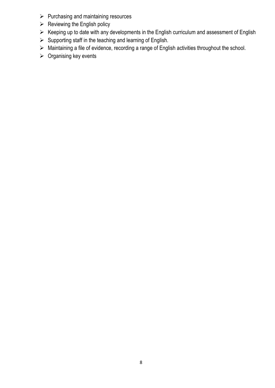- $\triangleright$  Purchasing and maintaining resources
- $\triangleright$  Reviewing the English policy
- $\triangleright$  Keeping up to date with any developments in the English curriculum and assessment of English
- $\triangleright$  Supporting staff in the teaching and learning of English.
- Maintaining a file of evidence, recording a range of English activities throughout the school.
- $\triangleright$  Organising key events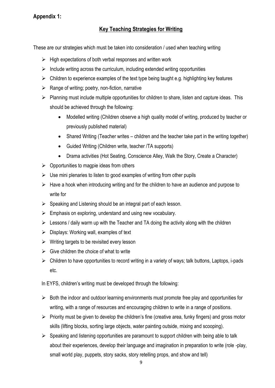## **Appendix 1:**

## **Key Teaching Strategies for Writing**

These are our strategies which must be taken into consideration / used when teaching writing

- $\triangleright$  High expectations of both verbal responses and written work
- $\triangleright$  Include writing across the curriculum, including extended writing opportunities
- $\triangleright$  Children to experience examples of the text type being taught e.g. highlighting key features
- $\triangleright$  Range of writing; poetry, non-fiction, narrative
- $\triangleright$  Planning must include multiple opportunities for children to share, listen and capture ideas. This should be achieved through the following:
	- Modelled writing (Children observe a high quality model of writing, produced by teacher or previously published material)
	- Shared Writing (Teacher writes children and the teacher take part in the writing together)
	- Guided Writing (Children write, teacher /TA supports)
	- Drama activities (Hot Seating, Conscience Alley, Walk the Story, Create a Character)
- $\triangleright$  Opportunities to magpie ideas from others
- $\triangleright$  Use mini plenaries to listen to good examples of writing from other pupils
- $\triangleright$  Have a hook when introducing writing and for the children to have an audience and purpose to write for
- $\triangleright$  Speaking and Listening should be an integral part of each lesson.
- $\triangleright$  Emphasis on exploring, understand and using new vocabulary.
- $\triangleright$  Lessons / daily warm up with the Teacher and TA doing the activity along with the children
- $\triangleright$  Displays: Working wall, examples of text
- $\triangleright$  Writing targets to be revisited every lesson
- $\triangleright$  Give children the choice of what to write
- $\triangleright$  Children to have opportunities to record writing in a variety of ways; talk buttons, Laptops, i-pads etc.

In EYFS, children's writing must be developed through the following:

- $\triangleright$  Both the indoor and outdoor learning environments must promote free play and opportunities for writing, with a range of resources and encouraging children to write in a range of positions.
- $\triangleright$  Priority must be given to develop the children's fine (creative area, funky fingers) and gross motor skills (lifting blocks, sorting large objects, water painting outside, mixing and scooping).
- $\triangleright$  Speaking and listening opportunities are paramount to support children with being able to talk about their experiences, develop their language and imagination in preparation to write (role -play, small world play, puppets, story sacks, story retelling props, and show and tell)